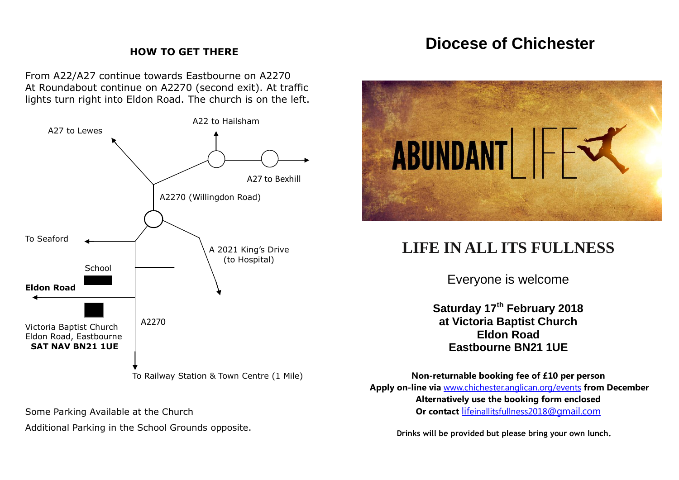## **Diocese of Chichester**

### **HOW TO GET THERE**

From A22/A27 continue towards Eastbourne on A2270 At Roundabout continue on A2270 (second exit). At traffic lights turn right into Eldon Road. The church is on the left.



Some Parking Available at the Church

Additional Parking in the School Grounds opposite.



# **LIFE IN ALL ITS FULLNESS**

Everyone is welcome

**Saturday 17th February 2018 at Victoria Baptist Church Eldon Road Eastbourne BN21 1UE**

**Non-returnable booking fee of £10 per person Apply on-line via** [www.chichester.anglican.org/events](http://www.chichester.anglican.org/events) **from December Alternatively use the booking form enclosed Or contact** lif[einallitsfullness2018](mailto:lifeinallitsfullness2018@gmail.com)@gmail.com

**Drinks will be provided but please bring your own lunch.**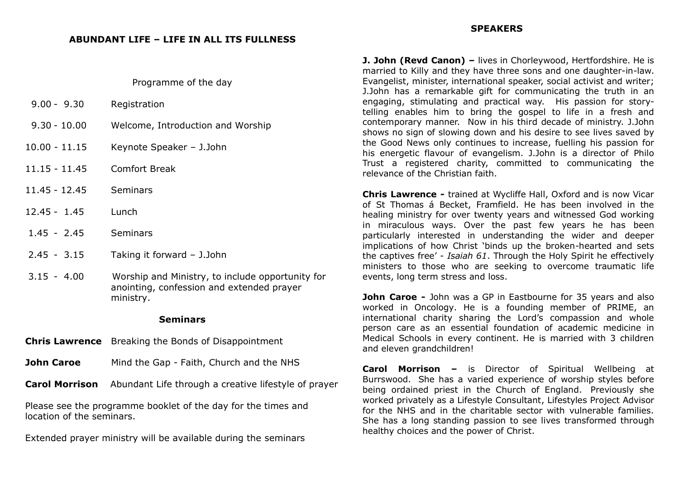#### Programme of the day

| $9.00 - 9.30$   | Registration                                                                                               |
|-----------------|------------------------------------------------------------------------------------------------------------|
| $9.30 - 10.00$  | Welcome, Introduction and Worship                                                                          |
| $10.00 - 11.15$ | Keynote Speaker - J.John                                                                                   |
| 11.15 - 11.45   | <b>Comfort Break</b>                                                                                       |
| 11.45 - 12.45   | <b>Seminars</b>                                                                                            |
| $12.45 - 1.45$  | Lunch                                                                                                      |
| $1.45 - 2.45$   | <b>Seminars</b>                                                                                            |
| $2.45 - 3.15$   | Taking it forward - J.John                                                                                 |
| $3.15 - 4.00$   | Worship and Ministry, to include opportunity for<br>anointing, confession and extended prayer<br>ministry. |

#### **Seminars**

- **Chris Lawrence** Breaking the Bonds of Disappointment
- **John Caroe** Mind the Gap Faith, Church and the NHS
- **Carol Morrison** Abundant Life through a creative lifestyle of prayer

Please see the programme booklet of the day for the times and location of the seminars.

Extended prayer ministry will be available during the seminars

**J. John (Revd Canon) –** lives in Chorleywood, Hertfordshire. He is married to Killy and they have three sons and one daughter-in-law. Evangelist, minister, international speaker, social activist and writer; J.John has a remarkable gift for communicating the truth in an engaging, stimulating and practical way. His passion for storytelling enables him to bring the gospel to life in a fresh and contemporary manner. Now in his third decade of ministry. J.John shows no sign of slowing down and his desire to see lives saved by the Good News only continues to increase, fuelling his passion for his energetic flavour of evangelism. J.John is a director of Philo Trust a registered charity, committed to communicating the relevance of the Christian faith.

**Chris Lawrence -** trained at Wycliffe Hall, Oxford and is now Vicar of St Thomas á Becket, Framfield. He has been involved in the healing ministry for over twenty years and witnessed God working in miraculous ways. Over the past few years he has been particularly interested in understanding the wider and deeper implications of how Christ 'binds up the broken-hearted and sets the captives free' - *Isaiah 61*. Through the Holy Spirit he effectively ministers to those who are seeking to overcome traumatic life events, long term stress and loss.

**John Caroe** - John was a GP in Eastbourne for 35 years and also worked in Oncology. He is a founding member of PRIME, an international charity sharing the Lord's compassion and whole person care as an essential foundation of academic medicine in Medical Schools in every continent. He is married with 3 children and eleven grandchildren!

**Carol Morrison –** is Director of Spiritual Wellbeing at Burrswood. She has a varied experience of worship styles before being ordained priest in the Church of England. Previously she worked privately as a Lifestyle Consultant, Lifestyles Project Advisor for the NHS and in the charitable sector with vulnerable families. She has a long standing passion to see lives transformed through healthy choices and the power of Christ.